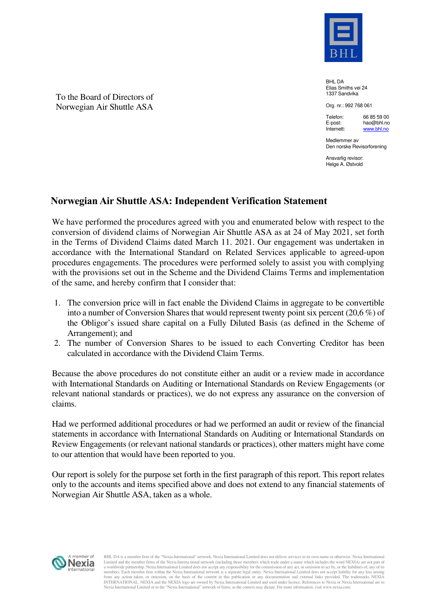

BHL DA Elias Smiths vei 24 1337 Sandvika

Org. nr.: 992 768 061

Telefon: E-post: Internett: 66 85 59 00 hao@bhl.no www.bhl.no

Medlemmer av Den norske Revisorforening

Ansvarlig revisor: Helge A. Østvold

## **Norwegian Air Shuttle ASA: Independent Verification Statement**

We have performed the procedures agreed with you and enumerated below with respect to the conversion of dividend claims of Norwegian Air Shuttle ASA as at 24 of May 2021, set forth in the Terms of Dividend Claims dated March 11. 2021. Our engagement was undertaken in accordance with the International Standard on Related Services applicable to agreed-upon procedures engagements. The procedures were performed solely to assist you with complying with the provisions set out in the Scheme and the Dividend Claims Terms and implementation of the same, and hereby confirm that I consider that:

- 1. The conversion price will in fact enable the Dividend Claims in aggregate to be convertible into a number of Conversion Shares that would represent twenty point six percent (20,6 %) of the Obligor's issued share capital on a Fully Diluted Basis (as defined in the Scheme of Arrangement); and
- 2. The number of Conversion Shares to be issued to each Converting Creditor has been calculated in accordance with the Dividend Claim Terms.

Because the above procedures do not constitute either an audit or a review made in accordance with International Standards on Auditing or International Standards on Review Engagements (or relevant national standards or practices), we do not express any assurance on the conversion of claims.

Had we performed additional procedures or had we performed an audit or review of the financial statements in accordance with International Standards on Auditing or International Standards on Review Engagements (or relevant national standards or practices), other matters might have come to our attention that would have been reported to you.

Our report is solely for the purpose set forth in the first paragraph of this report. This report relates only to the accounts and items specified above and does not extend to any financial statements of Norwegian Air Shuttle ASA, taken as a whole.



BHL DA is a member firm of the "Nexia International" network. Nexia International Limited does not deliver services in its own name or otherwise. Nexia International Limited and the member firms of the Nexia Interna tional network (including those members which trade under a name which includes the word NEXIA) are not part of<br>a worldwide partnership. Nexia International Limited does no members. Each member firm within the Nexia International network is a separate legal entity. Nexia International Limited does not accept liability for any loss arising<br>from any action taken, or omission, on the basis of th Nexia International Limited or to the "Nexia International" network of firms, as the context may dictate. For more information, visit www.nexia.com.

To the Board of Directors of Norwegian Air Shuttle ASA